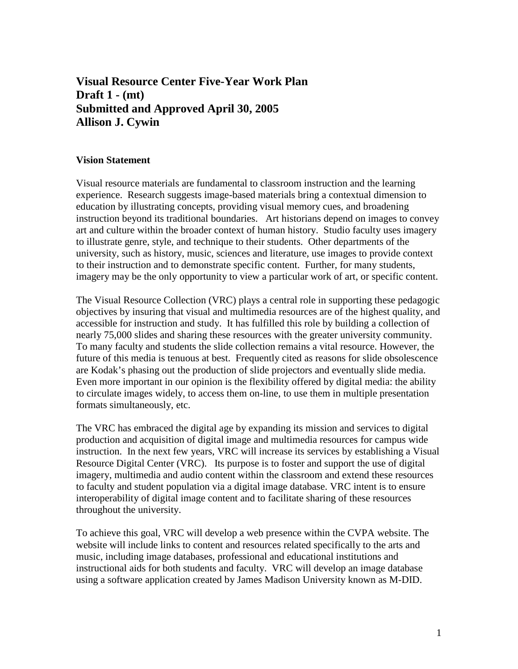# **Visual Resource Center Five-Year Work Plan Draft 1 - (mt) Submitted and Approved April 30, 2005 Allison J. Cywin**

### **Vision Statement**

Visual resource materials are fundamental to classroom instruction and the learning experience. Research suggests image-based materials bring a contextual dimension to education by illustrating concepts, providing visual memory cues, and broadening instruction beyond its traditional boundaries. Art historians depend on images to convey art and culture within the broader context of human history. Studio faculty uses imagery to illustrate genre, style, and technique to their students. Other departments of the university, such as history, music, sciences and literature, use images to provide context to their instruction and to demonstrate specific content. Further, for many students, imagery may be the only opportunity to view a particular work of art, or specific content.

The Visual Resource Collection (VRC) plays a central role in supporting these pedagogic objectives by insuring that visual and multimedia resources are of the highest quality, and accessible for instruction and study. It has fulfilled this role by building a collection of nearly 75,000 slides and sharing these resources with the greater university community. To many faculty and students the slide collection remains a vital resource. However, the future of this media is tenuous at best. Frequently cited as reasons for slide obsolescence are Kodak's phasing out the production of slide projectors and eventually slide media. Even more important in our opinion is the flexibility offered by digital media: the ability to circulate images widely, to access them on-line, to use them in multiple presentation formats simultaneously, etc.

The VRC has embraced the digital age by expanding its mission and services to digital production and acquisition of digital image and multimedia resources for campus wide instruction. In the next few years, VRC will increase its services by establishing a Visual Resource Digital Center (VRC). Its purpose is to foster and support the use of digital imagery, multimedia and audio content within the classroom and extend these resources to faculty and student population via a digital image database. VRC intent is to ensure interoperability of digital image content and to facilitate sharing of these resources throughout the university.

To achieve this goal, VRC will develop a web presence within the CVPA website. The website will include links to content and resources related specifically to the arts and music, including image databases, professional and educational institutions and instructional aids for both students and faculty. VRC will develop an image database using a software application created by James Madison University known as M-DID.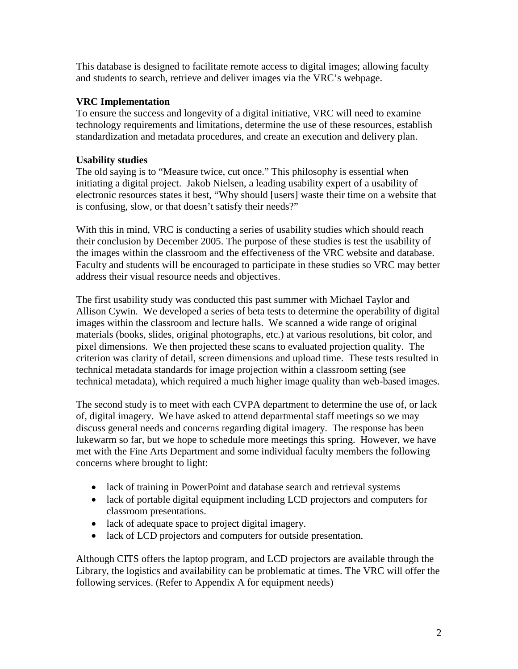This database is designed to facilitate remote access to digital images; allowing faculty and students to search, retrieve and deliver images via the VRC's webpage.

## **VRC Implementation**

To ensure the success and longevity of a digital initiative, VRC will need to examine technology requirements and limitations, determine the use of these resources, establish standardization and metadata procedures, and create an execution and delivery plan.

## **Usability studies**

The old saying is to "Measure twice, cut once." This philosophy is essential when initiating a digital project. Jakob Nielsen, a leading usability expert of a usability of electronic resources states it best, "Why should [users] waste their time on a website that is confusing, slow, or that doesn't satisfy their needs?"

With this in mind, VRC is conducting a series of usability studies which should reach their conclusion by December 2005. The purpose of these studies is test the usability of the images within the classroom and the effectiveness of the VRC website and database. Faculty and students will be encouraged to participate in these studies so VRC may better address their visual resource needs and objectives.

The first usability study was conducted this past summer with Michael Taylor and Allison Cywin. We developed a series of beta tests to determine the operability of digital images within the classroom and lecture halls. We scanned a wide range of original materials (books, slides, original photographs, etc.) at various resolutions, bit color, and pixel dimensions. We then projected these scans to evaluated projection quality. The criterion was clarity of detail, screen dimensions and upload time. These tests resulted in technical metadata standards for image projection within a classroom setting (see technical metadata), which required a much higher image quality than web-based images.

The second study is to meet with each CVPA department to determine the use of, or lack of, digital imagery. We have asked to attend departmental staff meetings so we may discuss general needs and concerns regarding digital imagery. The response has been lukewarm so far, but we hope to schedule more meetings this spring. However, we have met with the Fine Arts Department and some individual faculty members the following concerns where brought to light:

- lack of training in PowerPoint and database search and retrieval systems
- lack of portable digital equipment including LCD projectors and computers for classroom presentations.
- lack of adequate space to project digital imagery.
- lack of LCD projectors and computers for outside presentation.

Although CITS offers the laptop program, and LCD projectors are available through the Library, the logistics and availability can be problematic at times. The VRC will offer the following services. (Refer to Appendix A for equipment needs)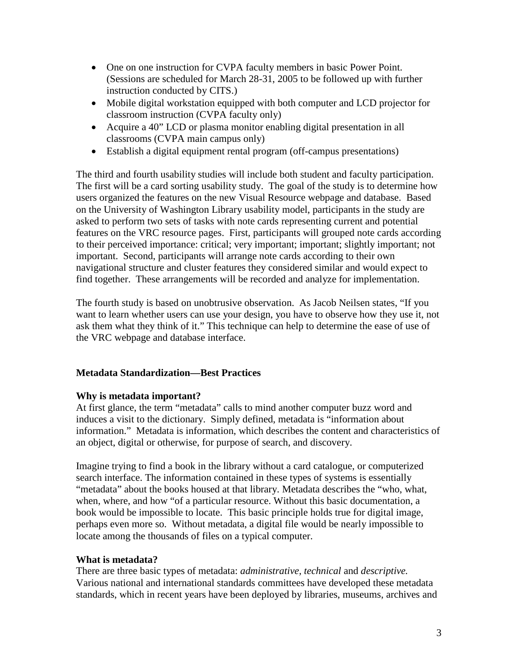- One on one instruction for CVPA faculty members in basic Power Point. (Sessions are scheduled for March 28-31, 2005 to be followed up with further instruction conducted by CITS.)
- Mobile digital workstation equipped with both computer and LCD projector for classroom instruction (CVPA faculty only)
- Acquire a 40" LCD or plasma monitor enabling digital presentation in all classrooms (CVPA main campus only)
- Establish a digital equipment rental program (off-campus presentations)

The third and fourth usability studies will include both student and faculty participation. The first will be a card sorting usability study. The goal of the study is to determine how users organized the features on the new Visual Resource webpage and database. Based on the University of Washington Library usability model, participants in the study are asked to perform two sets of tasks with note cards representing current and potential features on the VRC resource pages. First, participants will grouped note cards according to their perceived importance: critical; very important; important; slightly important; not important. Second, participants will arrange note cards according to their own navigational structure and cluster features they considered similar and would expect to find together. These arrangements will be recorded and analyze for implementation.

The fourth study is based on unobtrusive observation. As Jacob Neilsen states, "If you want to learn whether users can use your design, you have to observe how they use it, not ask them what they think of it." This technique can help to determine the ease of use of the VRC webpage and database interface.

## **Metadata Standardization—Best Practices**

## **Why is metadata important?**

At first glance, the term "metadata" calls to mind another computer buzz word and induces a visit to the dictionary. Simply defined, metadata is "information about information." Metadata is information, which describes the content and characteristics of an object, digital or otherwise, for purpose of search, and discovery.

Imagine trying to find a book in the library without a card catalogue, or computerized search interface. The information contained in these types of systems is essentially "metadata" about the books housed at that library. Metadata describes the "who, what, when, where, and how "of a particular resource. Without this basic documentation, a book would be impossible to locate. This basic principle holds true for digital image, perhaps even more so. Without metadata, a digital file would be nearly impossible to locate among the thousands of files on a typical computer.

## **What is metadata?**

There are three basic types of metadata: *administrative, technical* and *descriptive.*  Various national and international standards committees have developed these metadata standards, which in recent years have been deployed by libraries, museums, archives and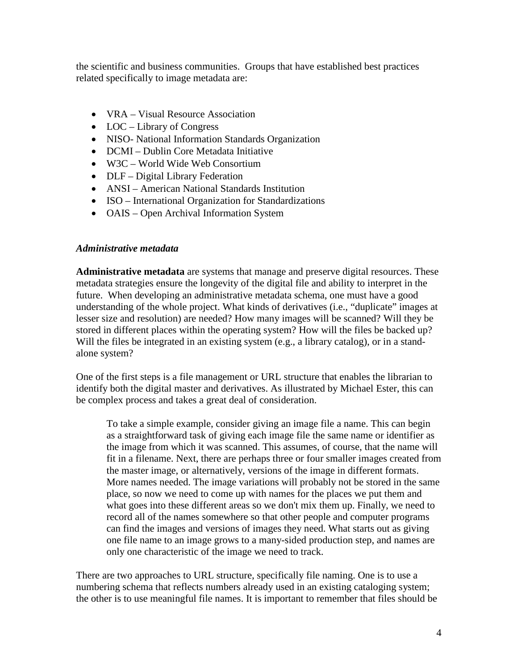the scientific and business communities. Groups that have established best practices related specifically to image metadata are:

- VRA Visual Resource Association
- LOC Library of Congress
- NISO- National Information Standards Organization
- DCMI Dublin Core Metadata Initiative
- W3C World Wide Web Consortium
- DLF Digital Library Federation
- ANSI American National Standards Institution
- ISO International Organization for Standardizations
- OAIS Open Archival Information System

### *Administrative metadata*

**Administrative metadata** are systems that manage and preserve digital resources. These metadata strategies ensure the longevity of the digital file and ability to interpret in the future. When developing an administrative metadata schema, one must have a good understanding of the whole project. What kinds of derivatives (i.e., "duplicate" images at lesser size and resolution) are needed? How many images will be scanned? Will they be stored in different places within the operating system? How will the files be backed up? Will the files be integrated in an existing system (e.g., a library catalog), or in a standalone system?

One of the first steps is a file management or URL structure that enables the librarian to identify both the digital master and derivatives. As illustrated by Michael Ester, this can be complex process and takes a great deal of consideration.

To take a simple example, consider giving an image file a name. This can begin as a straightforward task of giving each image file the same name or identifier as the image from which it was scanned. This assumes, of course, that the name will fit in a filename. Next, there are perhaps three or four smaller images created from the master image, or alternatively, versions of the image in different formats. More names needed. The image variations will probably not be stored in the same place, so now we need to come up with names for the places we put them and what goes into these different areas so we don't mix them up. Finally, we need to record all of the names somewhere so that other people and computer programs can find the images and versions of images they need. What starts out as giving one file name to an image grows to a many-sided production step, and names are only one characteristic of the image we need to track.

There are two approaches to URL structure, specifically file naming. One is to use a numbering schema that reflects numbers already used in an existing cataloging system; the other is to use meaningful file names. It is important to remember that files should be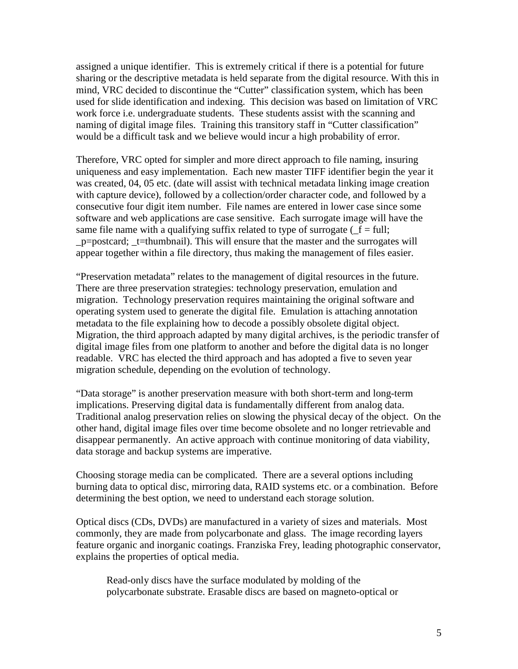assigned a unique identifier. This is extremely critical if there is a potential for future sharing or the descriptive metadata is held separate from the digital resource. With this in mind, VRC decided to discontinue the "Cutter" classification system, which has been used for slide identification and indexing. This decision was based on limitation of VRC work force i.e. undergraduate students. These students assist with the scanning and naming of digital image files. Training this transitory staff in "Cutter classification" would be a difficult task and we believe would incur a high probability of error.

Therefore, VRC opted for simpler and more direct approach to file naming, insuring uniqueness and easy implementation. Each new master TIFF identifier begin the year it was created, 04, 05 etc. (date will assist with technical metadata linking image creation with capture device), followed by a collection/order character code, and followed by a consecutive four digit item number. File names are entered in lower case since some software and web applications are case sensitive. Each surrogate image will have the same file name with a qualifying suffix related to type of surrogate ( $f = full$ ; \_p=postcard; \_t=thumbnail). This will ensure that the master and the surrogates will appear together within a file directory, thus making the management of files easier.

"Preservation metadata" relates to the management of digital resources in the future. There are three preservation strategies: technology preservation, emulation and migration. Technology preservation requires maintaining the original software and operating system used to generate the digital file. Emulation is attaching annotation metadata to the file explaining how to decode a possibly obsolete digital object. Migration, the third approach adapted by many digital archives, is the periodic transfer of digital image files from one platform to another and before the digital data is no longer readable. VRC has elected the third approach and has adopted a five to seven year migration schedule, depending on the evolution of technology.

"Data storage" is another preservation measure with both short-term and long-term implications. Preserving digital data is fundamentally different from analog data. Traditional analog preservation relies on slowing the physical decay of the object. On the other hand, digital image files over time become obsolete and no longer retrievable and disappear permanently. An active approach with continue monitoring of data viability, data storage and backup systems are imperative.

Choosing storage media can be complicated. There are a several options including burning data to optical disc, mirroring data, RAID systems etc. or a combination. Before determining the best option, we need to understand each storage solution.

Optical discs (CDs, DVDs) are manufactured in a variety of sizes and materials. Most commonly, they are made from polycarbonate and glass. The image recording layers feature organic and inorganic coatings. Franziska Frey, leading photographic conservator, explains the properties of optical media.

Read-only discs have the surface modulated by molding of the polycarbonate substrate. Erasable discs are based on magneto-optical or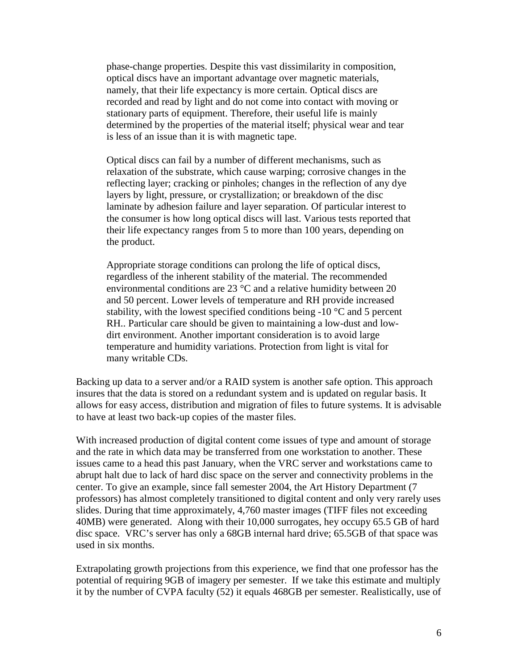phase-change properties. Despite this vast dissimilarity in composition, optical discs have an important advantage over magnetic materials, namely, that their life expectancy is more certain. Optical discs are recorded and read by light and do not come into contact with moving or stationary parts of equipment. Therefore, their useful life is mainly determined by the properties of the material itself; physical wear and tear is less of an issue than it is with magnetic tape.

Optical discs can fail by a number of different mechanisms, such as relaxation of the substrate, which cause warping; corrosive changes in the reflecting layer; cracking or pinholes; changes in the reflection of any dye layers by light, pressure, or crystallization; or breakdown of the disc laminate by adhesion failure and layer separation. Of particular interest to the consumer is how long optical discs will last. Various tests reported that their life expectancy ranges from 5 to more than 100 years, depending on the product.

Appropriate storage conditions can prolong the life of optical discs, regardless of the inherent stability of the material. The recommended environmental conditions are 23 °C and a relative humidity between 20 and 50 percent. Lower levels of temperature and RH provide increased stability, with the lowest specified conditions being  $-10$  °C and 5 percent RH.. Particular care should be given to maintaining a low-dust and lowdirt environment. Another important consideration is to avoid large temperature and humidity variations. Protection from light is vital for many writable CDs.

Backing up data to a server and/or a RAID system is another safe option. This approach insures that the data is stored on a redundant system and is updated on regular basis. It allows for easy access, distribution and migration of files to future systems. It is advisable to have at least two back-up copies of the master files.

With increased production of digital content come issues of type and amount of storage and the rate in which data may be transferred from one workstation to another. These issues came to a head this past January, when the VRC server and workstations came to abrupt halt due to lack of hard disc space on the server and connectivity problems in the center. To give an example, since fall semester 2004, the Art History Department (7 professors) has almost completely transitioned to digital content and only very rarely uses slides. During that time approximately, 4,760 master images (TIFF files not exceeding 40MB) were generated. Along with their 10,000 surrogates, hey occupy 65.5 GB of hard disc space. VRC's server has only a 68GB internal hard drive; 65.5GB of that space was used in six months.

Extrapolating growth projections from this experience, we find that one professor has the potential of requiring 9GB of imagery per semester. If we take this estimate and multiply it by the number of CVPA faculty (52) it equals 468GB per semester. Realistically, use of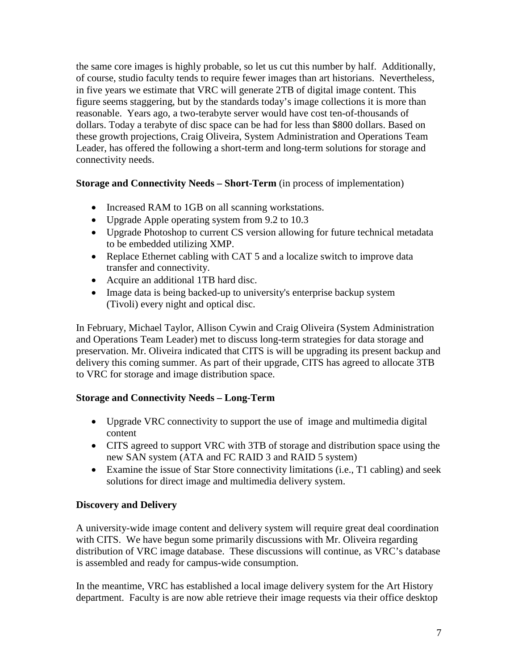the same core images is highly probable, so let us cut this number by half. Additionally, of course, studio faculty tends to require fewer images than art historians. Nevertheless, in five years we estimate that VRC will generate 2TB of digital image content. This figure seems staggering, but by the standards today's image collections it is more than reasonable. Years ago, a two-terabyte server would have cost ten-of-thousands of dollars. Today a terabyte of disc space can be had for less than \$800 dollars. Based on these growth projections, Craig Oliveira, System Administration and Operations Team Leader, has offered the following a short-term and long-term solutions for storage and connectivity needs.

## **Storage and Connectivity Needs – Short-Term** (in process of implementation)

- Increased RAM to 1GB on all scanning workstations.
- Upgrade Apple operating system from 9.2 to 10.3
- Upgrade Photoshop to current CS version allowing for future technical metadata to be embedded utilizing XMP.
- Replace Ethernet cabling with CAT 5 and a localize switch to improve data transfer and connectivity.
- Acquire an additional 1TB hard disc.
- Image data is being backed-up to university's enterprise backup system (Tivoli) every night and optical disc.

In February, Michael Taylor, Allison Cywin and Craig Oliveira (System Administration and Operations Team Leader) met to discuss long-term strategies for data storage and preservation. Mr. Oliveira indicated that CITS is will be upgrading its present backup and delivery this coming summer. As part of their upgrade, CITS has agreed to allocate 3TB to VRC for storage and image distribution space.

## **Storage and Connectivity Needs – Long-Term**

- Upgrade VRC connectivity to support the use of image and multimedia digital content
- CITS agreed to support VRC with 3TB of storage and distribution space using the new SAN system (ATA and FC RAID 3 and RAID 5 system)
- Examine the issue of Star Store connectivity limitations (i.e., T1 cabling) and seek solutions for direct image and multimedia delivery system.

## **Discovery and Delivery**

A university-wide image content and delivery system will require great deal coordination with CITS. We have begun some primarily discussions with Mr. Oliveira regarding distribution of VRC image database. These discussions will continue, as VRC's database is assembled and ready for campus-wide consumption.

In the meantime, VRC has established a local image delivery system for the Art History department. Faculty is are now able retrieve their image requests via their office desktop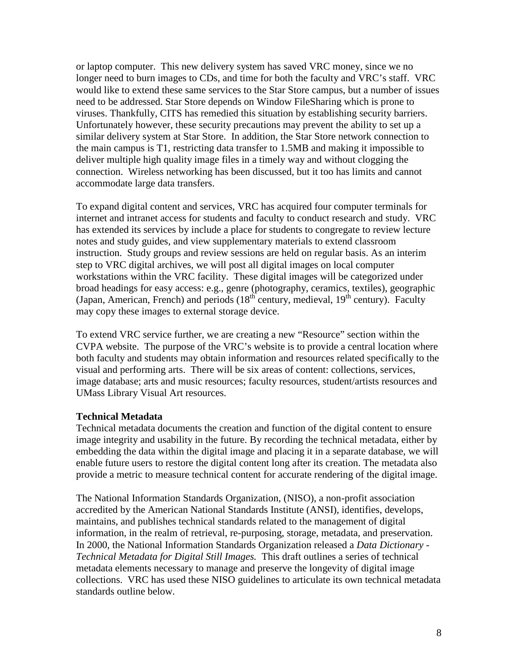or laptop computer. This new delivery system has saved VRC money, since we no longer need to burn images to CDs, and time for both the faculty and VRC's staff. VRC would like to extend these same services to the Star Store campus, but a number of issues need to be addressed. Star Store depends on Window FileSharing which is prone to viruses. Thankfully, CITS has remedied this situation by establishing security barriers. Unfortunately however, these security precautions may prevent the ability to set up a similar delivery system at Star Store. In addition, the Star Store network connection to the main campus is T1, restricting data transfer to 1.5MB and making it impossible to deliver multiple high quality image files in a timely way and without clogging the connection. Wireless networking has been discussed, but it too has limits and cannot accommodate large data transfers.

To expand digital content and services, VRC has acquired four computer terminals for internet and intranet access for students and faculty to conduct research and study. VRC has extended its services by include a place for students to congregate to review lecture notes and study guides, and view supplementary materials to extend classroom instruction. Study groups and review sessions are held on regular basis. As an interim step to VRC digital archives, we will post all digital images on local computer workstations within the VRC facility. These digital images will be categorized under broad headings for easy access: e.g., genre (photography, ceramics, textiles), geographic (Japan, American, French) and periods  $(18<sup>th</sup>$  century, medieval,  $19<sup>th</sup>$  century). Faculty may copy these images to external storage device.

To extend VRC service further, we are creating a new "Resource" section within the CVPA website. The purpose of the VRC's website is to provide a central location where both faculty and students may obtain information and resources related specifically to the visual and performing arts. There will be six areas of content: collections, services, image database; arts and music resources; faculty resources, student/artists resources and UMass Library Visual Art resources.

### **Technical Metadata**

Technical metadata documents the creation and function of the digital content to ensure image integrity and usability in the future. By recording the technical metadata, either by embedding the data within the digital image and placing it in a separate database, we will enable future users to restore the digital content long after its creation. The metadata also provide a metric to measure technical content for accurate rendering of the digital image.

The National Information Standards Organization, (NISO), a non-profit association accredited by the American National Standards Institute (ANSI), identifies, develops, maintains, and publishes technical standards related to the management of digital information, in the realm of retrieval, re-purposing, storage, metadata, and preservation. In 2000, the National Information Standards Organization released a *Data Dictionary - Technical Metadata for Digital Still Images.* This draft outlines a series of technical metadata elements necessary to manage and preserve the longevity of digital image collections. VRC has used these NISO guidelines to articulate its own technical metadata standards outline below.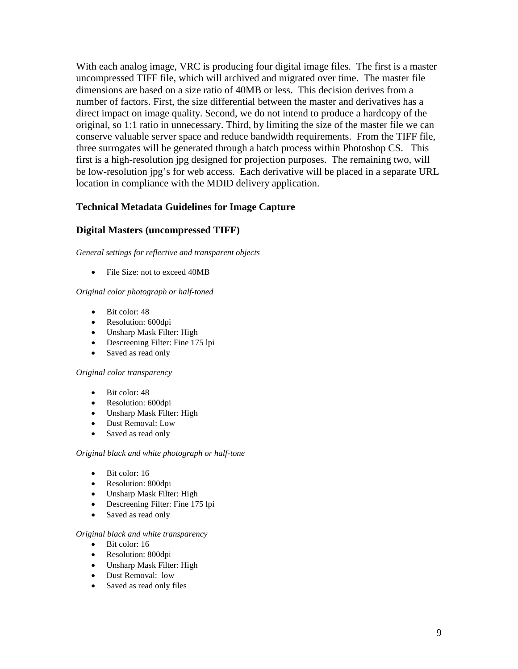With each analog image, VRC is producing four digital image files. The first is a master uncompressed TIFF file, which will archived and migrated over time. The master file dimensions are based on a size ratio of 40MB or less. This decision derives from a number of factors. First, the size differential between the master and derivatives has a direct impact on image quality. Second, we do not intend to produce a hardcopy of the original, so 1:1 ratio in unnecessary. Third, by limiting the size of the master file we can conserve valuable server space and reduce bandwidth requirements. From the TIFF file, three surrogates will be generated through a batch process within Photoshop CS. This first is a high-resolution jpg designed for projection purposes. The remaining two, will be low-resolution jpg's for web access. Each derivative will be placed in a separate URL location in compliance with the MDID delivery application.

## **Technical Metadata Guidelines for Image Capture**

### **Digital Masters (uncompressed TIFF)**

*General settings for reflective and transparent objects*

• File Size: not to exceed 40MB

#### *Original color photograph or half-toned*

- Bit color: 48
- Resolution: 600dpi
- Unsharp Mask Filter: High
- Descreening Filter: Fine 175 lpi
- Saved as read only

#### *Original color transparency*

- Bit color: 48
- Resolution: 600dpi
- Unsharp Mask Filter: High
- Dust Removal: Low
- Saved as read only

#### *Original black and white photograph or half-tone*

- Bit color: 16
- Resolution: 800dpi
- Unsharp Mask Filter: High
- Descreening Filter: Fine 175 lpi
- Saved as read only

#### *Original black and white transparency*

- Bit color: 16
- Resolution: 800dpi
- Unsharp Mask Filter: High
- Dust Removal: low
- Saved as read only files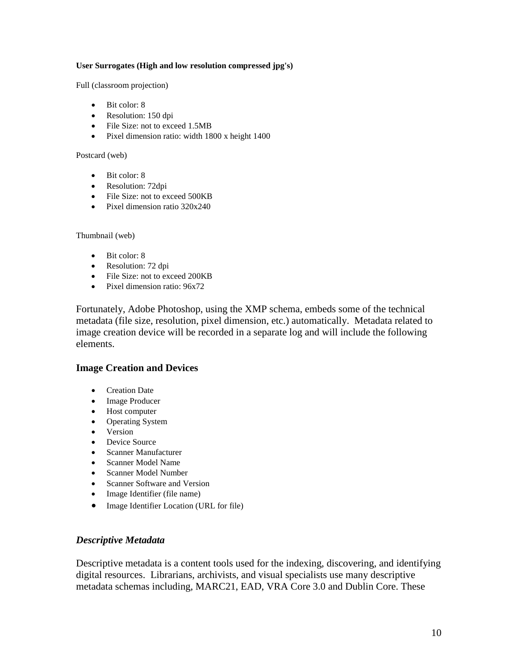#### **User Surrogates (High and low resolution compressed jpg's)**

Full (classroom projection)

- Bit color: 8
- Resolution: 150 dpi
- File Size: not to exceed 1.5MB
- Pixel dimension ratio: width 1800 x height 1400

Postcard (web)

- Bit color: 8
- Resolution: 72dpi
- File Size: not to exceed 500KB
- Pixel dimension ratio 320x240

Thumbnail (web)

- Bit color: 8
- Resolution: 72 dpi
- File Size: not to exceed 200KB
- Pixel dimension ratio:  $96x72$

Fortunately, Adobe Photoshop, using the XMP schema, embeds some of the technical metadata (file size, resolution, pixel dimension, etc.) automatically. Metadata related to image creation device will be recorded in a separate log and will include the following elements.

#### **Image Creation and Devices**

- Creation Date
- Image Producer
- Host computer
- Operating System
- Version
- Device Source
- Scanner Manufacturer
- Scanner Model Name
- Scanner Model Number
- Scanner Software and Version
- Image Identifier (file name)
- Image Identifier Location (URL for file)

#### *Descriptive Metadata*

Descriptive metadata is a content tools used for the indexing, discovering, and identifying digital resources. Librarians, archivists, and visual specialists use many descriptive metadata schemas including, MARC21, EAD, VRA Core 3.0 and Dublin Core. These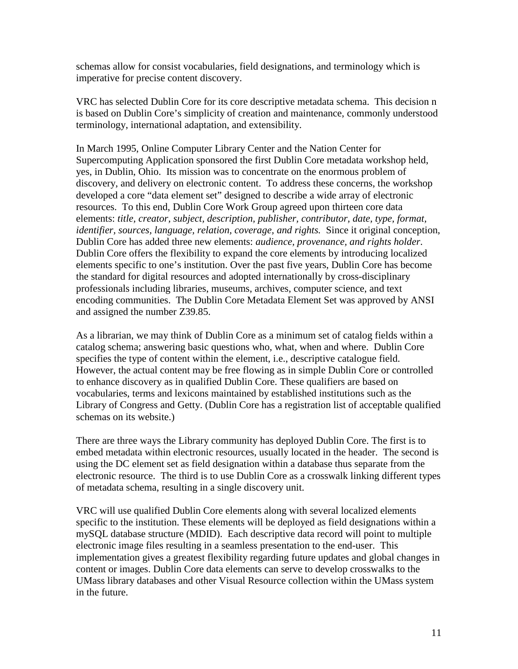schemas allow for consist vocabularies, field designations, and terminology which is imperative for precise content discovery.

VRC has selected Dublin Core for its core descriptive metadata schema. This decision n is based on Dublin Core's simplicity of creation and maintenance, commonly understood terminology, international adaptation, and extensibility.

In March 1995, Online Computer Library Center and the Nation Center for Supercomputing Application sponsored the first Dublin Core metadata workshop held, yes, in Dublin, Ohio. Its mission was to concentrate on the enormous problem of discovery, and delivery on electronic content. To address these concerns, the workshop developed a core "data element set" designed to describe a wide array of electronic resources. To this end, Dublin Core Work Group agreed upon thirteen core data elements: *title, creator, subject, description, publisher, contributor, date, type, format, identifier, sources, language, relation, coverage, and rights.* Since it original conception, Dublin Core has added three new elements: *audience, provenance, and rights holder*. Dublin Core offers the flexibility to expand the core elements by introducing localized elements specific to one's institution. Over the past five years, Dublin Core has become the standard for digital resources and adopted internationally by cross-disciplinary professionals including libraries, museums, archives, computer science, and text encoding communities. The Dublin Core Metadata Element Set was approved by ANSI and assigned the number Z39.85.

As a librarian, we may think of Dublin Core as a minimum set of catalog fields within a catalog schema; answering basic questions who, what, when and where. Dublin Core specifies the type of content within the element, i.e., descriptive catalogue field. However, the actual content may be free flowing as in simple Dublin Core or controlled to enhance discovery as in qualified Dublin Core. These qualifiers are based on vocabularies, terms and lexicons maintained by established institutions such as the Library of Congress and Getty. (Dublin Core has a registration list of acceptable qualified schemas on its website.)

There are three ways the Library community has deployed Dublin Core. The first is to embed metadata within electronic resources, usually located in the header. The second is using the DC element set as field designation within a database thus separate from the electronic resource. The third is to use Dublin Core as a crosswalk linking different types of metadata schema, resulting in a single discovery unit.

VRC will use qualified Dublin Core elements along with several localized elements specific to the institution. These elements will be deployed as field designations within a mySQL database structure (MDID). Each descriptive data record will point to multiple electronic image files resulting in a seamless presentation to the end-user. This implementation gives a greatest flexibility regarding future updates and global changes in content or images. Dublin Core data elements can serve to develop crosswalks to the UMass library databases and other Visual Resource collection within the UMass system in the future.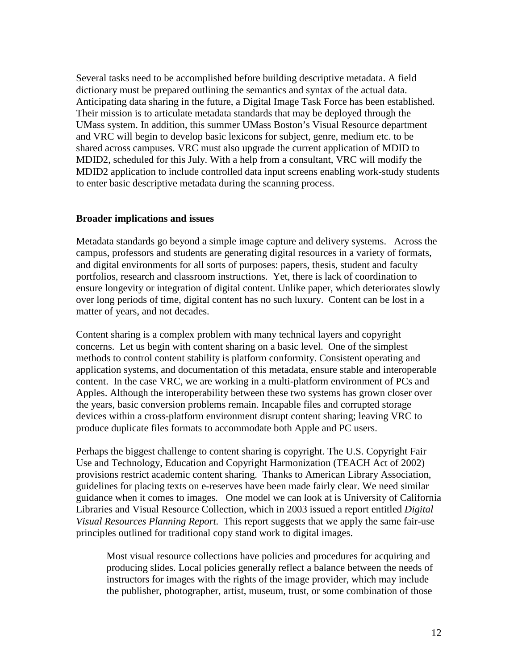Several tasks need to be accomplished before building descriptive metadata. A field dictionary must be prepared outlining the semantics and syntax of the actual data. Anticipating data sharing in the future, a Digital Image Task Force has been established. Their mission is to articulate metadata standards that may be deployed through the UMass system. In addition, this summer UMass Boston's Visual Resource department and VRC will begin to develop basic lexicons for subject, genre, medium etc. to be shared across campuses. VRC must also upgrade the current application of MDID to MDID2, scheduled for this July. With a help from a consultant, VRC will modify the MDID2 application to include controlled data input screens enabling work-study students to enter basic descriptive metadata during the scanning process.

### **Broader implications and issues**

Metadata standards go beyond a simple image capture and delivery systems. Across the campus, professors and students are generating digital resources in a variety of formats, and digital environments for all sorts of purposes: papers, thesis, student and faculty portfolios, research and classroom instructions. Yet, there is lack of coordination to ensure longevity or integration of digital content. Unlike paper, which deteriorates slowly over long periods of time, digital content has no such luxury. Content can be lost in a matter of years, and not decades.

Content sharing is a complex problem with many technical layers and copyright concerns. Let us begin with content sharing on a basic level. One of the simplest methods to control content stability is platform conformity. Consistent operating and application systems, and documentation of this metadata, ensure stable and interoperable content. In the case VRC, we are working in a multi-platform environment of PCs and Apples. Although the interoperability between these two systems has grown closer over the years, basic conversion problems remain. Incapable files and corrupted storage devices within a cross-platform environment disrupt content sharing; leaving VRC to produce duplicate files formats to accommodate both Apple and PC users.

Perhaps the biggest challenge to content sharing is copyright. The U.S. Copyright Fair Use and Technology, Education and Copyright Harmonization (TEACH Act of 2002) provisions restrict academic content sharing. Thanks to American Library Association, guidelines for placing texts on e-reserves have been made fairly clear. We need similar guidance when it comes to images. One model we can look at is University of California Libraries and Visual Resource Collection, which in 2003 issued a report entitled *Digital Visual Resources Planning Report.* This report suggests that we apply the same fair-use principles outlined for traditional copy stand work to digital images.

Most visual resource collections have policies and procedures for acquiring and producing slides. Local policies generally reflect a balance between the needs of instructors for images with the rights of the image provider, which may include the publisher, photographer, artist, museum, trust, or some combination of those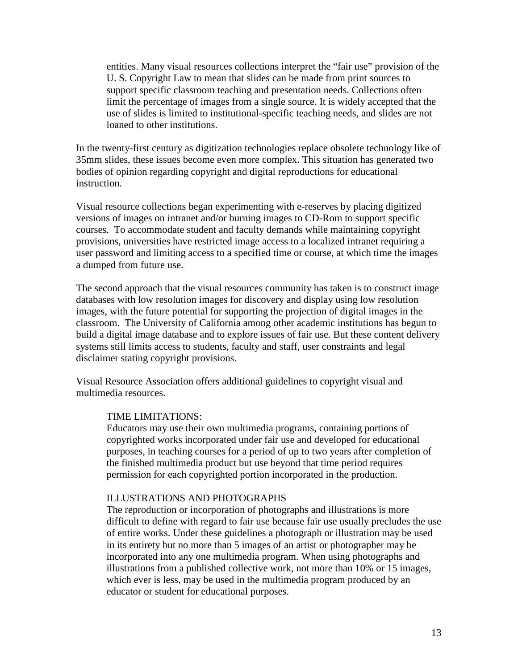entities. Many visual resources collections interpret the "fair use" provision of the U. S. Copyright Law to mean that slides can be made from print sources to support specific classroom teaching and presentation needs. Collections often limit the percentage of images from a single source. It is widely accepted that the use of slides is limited to institutional-specific teaching needs, and slides are not loaned to other institutions.

In the twenty-first century as digitization technologies replace obsolete technology like of 35mm slides, these issues become even more complex. This situation has generated two bodies of opinion regarding copyright and digital reproductions for educational instruction.

Visual resource collections began experimenting with e-reserves by placing digitized versions of images on intranet and/or burning images to CD-Rom to support specific courses. To accommodate student and faculty demands while maintaining copyright provisions, universities have restricted image access to a localized intranet requiring a user password and limiting access to a specified time or course, at which time the images a dumped from future use.

The second approach that the visual resources community has taken is to construct image databases with low resolution images for discovery and display using low resolution images, with the future potential for supporting the projection of digital images in the classroom. The University of California among other academic institutions has begun to build a digital image database and to explore issues of fair use. But these content delivery systems still limits access to students, faculty and staff, user constraints and legal disclaimer stating copyright provisions.

Visual Resource Association offers additional guidelines to copyright visual and multimedia resources.

#### TIME LIMITATIONS:

Educators may use their own multimedia programs, containing portions of copyrighted works incorporated under fair use and developed for educational purposes, in teaching courses for a period of up to two years after completion of the finished multimedia product but use beyond that time period requires permission for each copyrighted portion incorporated in the production.

### ILLUSTRATIONS AND PHOTOGRAPHS

The reproduction or incorporation of photographs and illustrations is more difficult to define with regard to fair use because fair use usually precludes the use of entire works. Under these guidelines a photograph or illustration may be used in its entirety but no more than 5 images of an artist or photographer may be incorporated into any one multimedia program. When using photographs and illustrations from a published collective work, not more than 10% or 15 images, which ever is less, may be used in the multimedia program produced by an educator or student for educational purposes.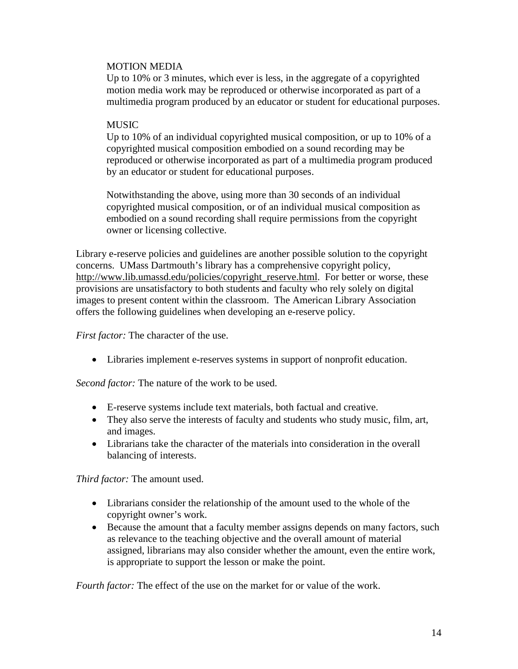### MOTION MEDIA

Up to 10% or 3 minutes, which ever is less, in the aggregate of a copyrighted motion media work may be reproduced or otherwise incorporated as part of a multimedia program produced by an educator or student for educational purposes.

### MUSIC

Up to 10% of an individual copyrighted musical composition, or up to 10% of a copyrighted musical composition embodied on a sound recording may be reproduced or otherwise incorporated as part of a multimedia program produced by an educator or student for educational purposes.

Notwithstanding the above, using more than 30 seconds of an individual copyrighted musical composition, or of an individual musical composition as embodied on a sound recording shall require permissions from the copyright owner or licensing collective.

Library e-reserve policies and guidelines are another possible solution to the copyright concerns. UMass Dartmouth's library has a comprehensive copyright policy, [http://www.lib.umassd.edu/policies/copyright\\_reserve.html.](http://www.lib.umassd.edu/policies/copyright_reserve.html) For better or worse, these provisions are unsatisfactory to both students and faculty who rely solely on digital images to present content within the classroom. The American Library Association offers the following guidelines when developing an e-reserve policy.

*First factor:* The character of the use.

• Libraries implement e-reserves systems in support of nonprofit education.

*Second factor:* The nature of the work to be used.

- E-reserve systems include text materials, both factual and creative.
- They also serve the interests of faculty and students who study music, film, art, and images.
- Librarians take the character of the materials into consideration in the overall balancing of interests.

*Third factor:* The amount used.

- Librarians consider the relationship of the amount used to the whole of the copyright owner's work.
- Because the amount that a faculty member assigns depends on many factors, such as relevance to the teaching objective and the overall amount of material assigned, librarians may also consider whether the amount, even the entire work, is appropriate to support the lesson or make the point.

*Fourth factor:* The effect of the use on the market for or value of the work.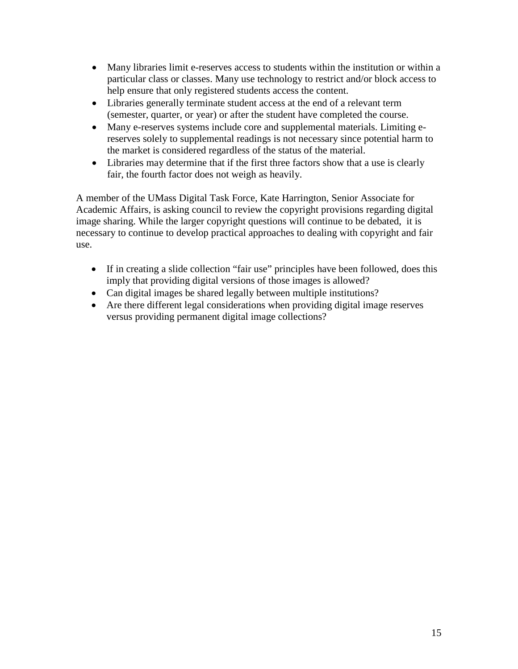- Many libraries limit e-reserves access to students within the institution or within a particular class or classes. Many use technology to restrict and/or block access to help ensure that only registered students access the content.
- Libraries generally terminate student access at the end of a relevant term (semester, quarter, or year) or after the student have completed the course.
- Many e-reserves systems include core and supplemental materials. Limiting ereserves solely to supplemental readings is not necessary since potential harm to the market is considered regardless of the status of the material.
- Libraries may determine that if the first three factors show that a use is clearly fair, the fourth factor does not weigh as heavily.

A member of the UMass Digital Task Force, Kate Harrington, Senior Associate for Academic Affairs, is asking council to review the copyright provisions regarding digital image sharing. While the larger copyright questions will continue to be debated, it is necessary to continue to develop practical approaches to dealing with copyright and fair use.

- If in creating a slide collection "fair use" principles have been followed, does this imply that providing digital versions of those images is allowed?
- Can digital images be shared legally between multiple institutions?
- Are there different legal considerations when providing digital image reserves versus providing permanent digital image collections?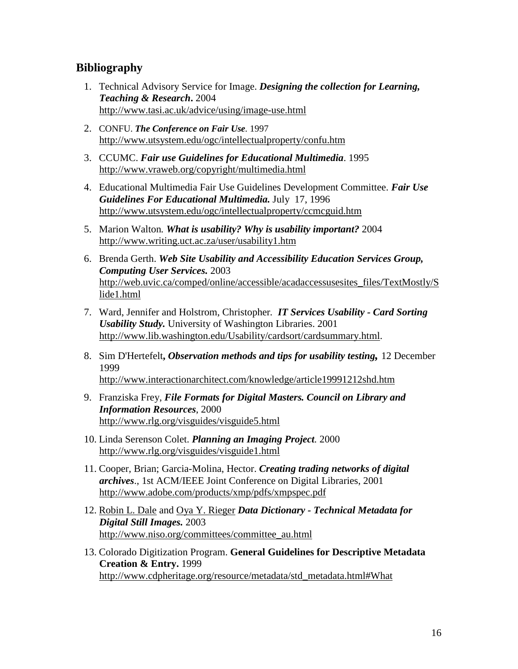# **Bibliography**

- 1. Technical Advisory Service for Image. *Designing the collection for Learning, Teaching & Research***.** 2004 <http://www.tasi.ac.uk/advice/using/image-use.html>
- 2. CONFU. *The Conference on Fair Use.* 1997 <http://www.utsystem.edu/ogc/intellectualproperty/confu.htm>
- 3. CCUMC. *Fair use Guidelines for Educational Multimedia*. 1995 <http://www.vraweb.org/copyright/multimedia.html>
- 4. Educational Multimedia Fair Use Guidelines Development Committee. *Fair Use Guidelines For Educational Multimedia.* July 17, 1996 <http://www.utsystem.edu/ogc/intellectualproperty/ccmcguid.htm>
- 5. Marion Walton*. What is usability? Why is usability important?* 2004 <http://www.writing.uct.ac.za/user/usability1.htm>
- 6. Brenda Gerth. *Web Site Usability and Accessibility Education Services Group, Computing User Services.* 2003 [http://web.uvic.ca/comped/online/accessible/acadaccessusesites\\_files/TextMostly/S](http://web.uvic.ca/comped/online/accessible/acadaccessusesites_files/TextMostly/Slide1.html) [lide1.html](http://web.uvic.ca/comped/online/accessible/acadaccessusesites_files/TextMostly/Slide1.html)
- 7. Ward, Jennifer and Holstrom, Christopher*. IT Services Usability - Card Sorting Usability Study.* University of Washington Libraries. 2001 [http://www.lib.washington.edu/Usability/cardsort/cardsummary.html.](http://www.lib.washington.edu/Usability/cardsort/cardsummary.html)
- 8. Sim D'Hertefelt**,** *Observation methods and tips for usability testing,* 12 December 1999 <http://www.interactionarchitect.com/knowledge/article19991212shd.htm>
- 9. Franziska Frey, *File Formats for Digital Masters. Council on Library and Information Resources*, 2000 <http://www.rlg.org/visguides/visguide5.html>
- 10. Linda Serenson Colet. *Planning an Imaging Project.* 2000 <http://www.rlg.org/visguides/visguide1.html>
- 11. Cooper, Brian; Garcia-Molina, Hector. *Creating trading networks of digital archives*., 1st ACM/IEEE Joint Conference on Digital Libraries, 2001 <http://www.adobe.com/products/xmp/pdfs/xmpspec.pdf>
- 12. [Robin L. Dale](mailto:Robin.Dale@notes.rlg.org) and [Oya Y. Rieger](mailto:oyr1@cornell.edu) *Data Dictionary - Technical Metadata for Digital Still Images.* 2003 [http://www.niso.org/committees/committee\\_au.html](http://www.niso.org/committees/committee_au.html)
- 13. Colorado Digitization Program. **General Guidelines for Descriptive Metadata Creation & Entry.** 1999 [http://www.cdpheritage.org/resource/metadata/std\\_metadata.html#What](http://www.cdpheritage.org/resource/metadata/std_metadata.html#What)